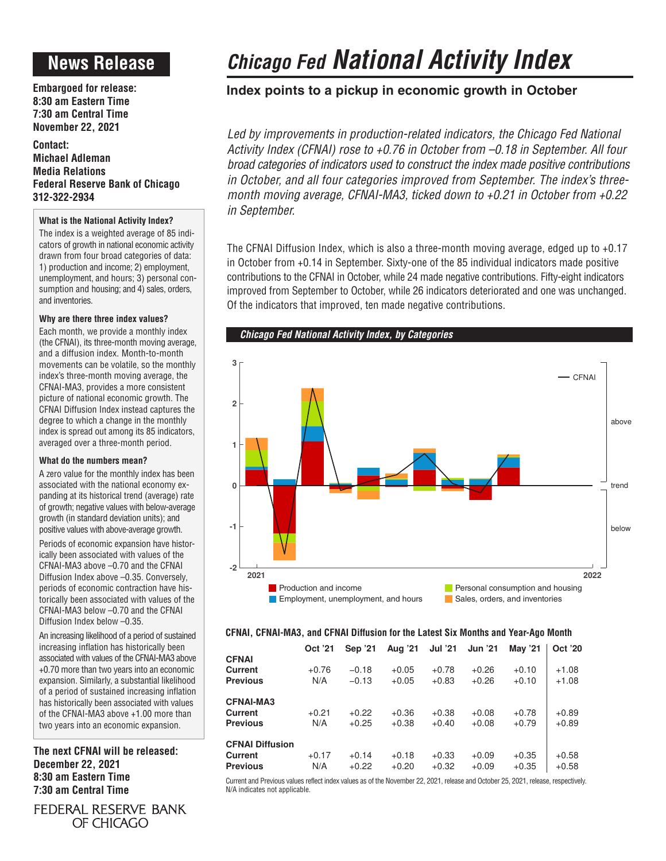## **News Release**

**Embargoed for release: 8:30 am Eastern Time 7:30 am Central Time November 22, 2021**

**Contact: Michael Adleman Media Relations Federal Reserve Bank of Chicago 312-322-2934**

### **What is the National Activity Index?**

The index is a weighted average of 85 indicators of growth in national economic activity drawn from four broad categories of data: 1) production and income; 2) employment, unemployment, and hours; 3) personal consumption and housing; and 4) sales, orders, and inventories.

### **Why are there three index values?**

Each month, we provide a monthly index (the CFNAI), its three-month moving average, and a diffusion index. Month-to-month movements can be volatile, so the monthly index's three-month moving average, the CFNAI-MA3, provides a more consistent picture of national economic growth. The CFNAI Diffusion Index instead captures the degree to which a change in the monthly index is spread out among its 85 indicators, averaged over a three-month period.

### **What do the numbers mean?**

A zero value for the monthly index has been associated with the national economy expanding at its historical trend (average) rate of growth; negative values with below-average growth (in standard deviation units); and positive values with above-average growth.

Periods of economic expansion have historically been associated with values of the CFNAI-MA3 above –0.70 and the CFNAI Diffusion Index above –0.35. Conversely, periods of economic contraction have historically been associated with values of the CFNAI-MA3 below –0.70 and the CFNAI Diffusion Index below –0.35.

An increasing likelihood of a period of sustained increasing inflation has historically been associated with values of the CFNAI-MA3 above +0.70 more than two years into an economic expansion. Similarly, a substantial likelihood of a period of sustained increasing inflation has historically been associated with values of the CFNAI-MA3 above +1.00 more than two years into an economic expansion.

**The next CFNAI will be released: December 22, 2021 8:30 am Eastern Time 7:30 am Central Time**

FEDERAL RESERVE BANK OF CHICAGO

# *Chicago Fed National Activity Index*

### **Index points to a pickup in economic growth in October**

Led by improvements in production-related indicators, the Chicago Fed National *Activity Index (CFNAI) rose to +0.76 in October from –0.18 in September. All four broad categories of indicators used to construct the index made positive contributions in October, and all four categories improved from September. The index's threemonth moving average, CFNAI-MA3, ticked down to +0.21 in October from +0.22 in September.*

The CFNAI Diffusion Index, which is also a three-month moving average, edged up to +0.17 in October from +0.14 in September. Sixty-one of the 85 individual indicators made positive contributions to the CFNAI in October, while 24 made negative contributions. Fifty-eight indicators improved from September to October, while 26 indicators deteriorated and one was unchanged. Of the indicators that improved, ten made negative contributions.



### **CFNAI, CFNAI-MA3, and CFNAI Diffusion for the Latest Six Months and Year-Ago Month**

|                        | Oct '21 | Sep '21 | Aug '21 | <b>Jul '21</b> | <b>Jun '21</b> | <b>May '21</b> | <b>Oct '20</b> |
|------------------------|---------|---------|---------|----------------|----------------|----------------|----------------|
| <b>CFNAI</b>           |         |         |         |                |                |                |                |
| Current                | $+0.76$ | $-0.18$ | $+0.05$ | $+0.78$        | $+0.26$        | $+0.10$        | $+1.08$        |
| <b>Previous</b>        | N/A     | $-0.13$ | $+0.05$ | $+0.83$        | $+0.26$        | $+0.10$        | $+1.08$        |
| <b>CFNAI-MA3</b>       |         |         |         |                |                |                |                |
| Current                | $+0.21$ | $+0.22$ | $+0.36$ | $+0.38$        | $+0.08$        | $+0.78$        | $+0.89$        |
| <b>Previous</b>        | N/A     | $+0.25$ | $+0.38$ | $+0.40$        | $+0.08$        | $+0.79$        | $+0.89$        |
| <b>CFNAI Diffusion</b> |         |         |         |                |                |                |                |
| Current                | $+0.17$ | $+0.14$ | $+0.18$ | $+0.33$        | $+0.09$        | $+0.35$        | $+0.58$        |
| <b>Previous</b>        | N/A     | $+0.22$ | $+0.20$ | $+0.32$        | $+0.09$        | $+0.35$        | $+0.58$        |

Current and Previous values reflect index values as of the November 22, 2021, release and October 25, 2021, release, respectively. N/A indicates not applicable.